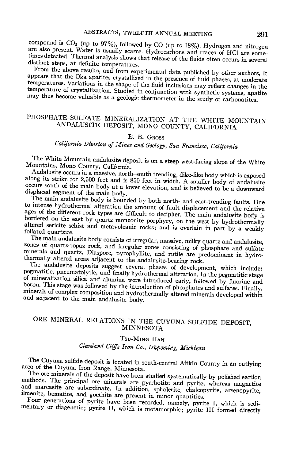compound is  $CO<sub>2</sub>$  (up to 97%), followed by CO (up to 18%). Hydrogen and nitrogen are also present. Water is usually scarce. Hydrocarbons and traces of HCl are sometimes detected. Thermal analysis shows that release of the fluids often occurs in several distinct steps, at definite temperatures.

From the above results, and from experimental data published by other authors, it appears that the Oka apatites crystallized in the presence of fluid phases, at moderate temperatures. Variations in the shape of the fluid inclusions may reflect changes in the temperature of crystallization. Studied in conjunction with synthetic systems, apatite may thus become valuable as a geologic thermometer in the study of carbonatites.

### PHOSPHATE-SULFATE MINERALIZATION AT THE WHITE MOUNTAIN ANDALUSITE DEPOSIT, MONO COUNTY, CALIFORNIA

#### E. B. GROSS

## California Division of Mines and Geology, San Francisco, California

The White Mountain and alusite deposit is on a steep west-facing slope of the White Mountains, Mono County, California.

Andalusite occurs in a massive, north-south trending, dike-like body which is exposed along its strike for 2,500 feet and is 850 feet in width. A smaller body of andalusite occurs south of the main body at a lower elevation, and is believed to be a downward displaced segment of the main body.

The main andalusite body is bounded by both north- and east-trending faults. Due to intense hydrothermal alteration the amount of fault displacement and the relative ages of the different rock types are difficult to decipher. The main andalusite body is bordered on the east by quartz monzonite porphyry, on the west by hydrothermally altered sericite schist and metavolcanic rocks; and is overlain in part by a weakly foliated quartzite.

The main andalusite body consists of irregular, massive, milky quartz and andalusite, zones of quartz-topaz rock, and irregular zones consisting of phosphate and sulfate minerals and quartz. Diaspore, pyrophyllite, and rutile are predominant in hydrothermally altered areas adjacent to the andalusite-bearing rock.

The andalusite deposits suggest several phases of development, which include: pegmatitic, pneumatolytic, and finally hydrothermal alteration. In the pegmatitic stage of mineralization silica and alumina were introduced early, followed by fluorine and boron. This stage was followed by the introduction of phosphates and sulfates. Finally, minerals of complex composition and hydrothermally altered minerals developed within and adjacent to the main andalusite body.

#### ORE MINERAL RELATIONS IN THE CUYUNA SULFIDE DEPOSIT, **MINNESOTA**

#### TSU-MING HAN

Cleveland Cliffs Iron Co., Ishpeming, Michigan

The Cuyuna sulfide deposit is located in south-central Aitkin County in an outlying area of the Cuyuna Iron Range, Minnesota.

The ore minerals of the deposit have been studied systematically by polished section methods. The principal ore minerals are pyrrhotite and pyrite, whereas magnetite and marcasite are subordinate. In addition, sphalerite, chalcopyrite, arsenopyrite, ilmenite, hematite, and goethite are present in minor quantities.

Four generations of pyrite have been recorded, namely, pyrite I, which is sedimentary or diagenetic; pyrite II, which is metamorphic; pyrite III formed directly